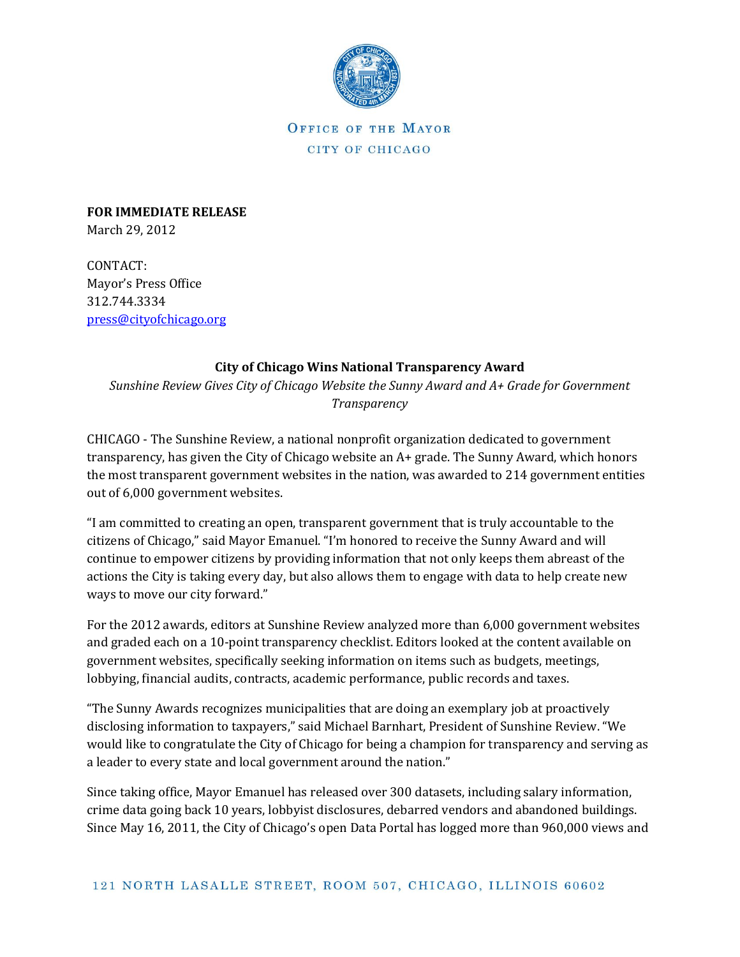

OFFICE OF THE MAYOR CITY OF CHICAGO

**FOR IMMEDIATE RELEASE** March 29, 2012

CONTACT: Mayor's Press Office 312.744.3334 [press@cityofchicago.org](mailto:press@cityofchicago.org)

## **City of Chicago Wins National Transparency Award**

*Sunshine Review Gives City of Chicago Website the Sunny Award and A+ Grade for Government Transparency*

CHICAGO - The Sunshine Review, a national nonprofit organization dedicated to government transparency, has given the City of Chicago website an A+ grade. The Sunny Award, which honors the most transparent government websites in the nation, was awarded to 214 government entities out of 6,000 government websites.

"I am committed to creating an open, transparent government that is truly accountable to the citizens of Chicago," said Mayor Emanuel. "I'm honored to receive the Sunny Award and will continue to empower citizens by providing information that not only keeps them abreast of the actions the City is taking every day, but also allows them to engage with data to help create new ways to move our city forward."

For the 2012 awards, editors at Sunshine Review analyzed more than 6,000 government websites and graded each on a 10-point transparency checklist. Editors looked at the content available on government websites, specifically seeking information on items such as budgets, meetings, lobbying, financial audits, contracts, academic performance, public records and taxes.

"The Sunny Awards recognizes municipalities that are doing an exemplary job at proactively disclosing information to taxpayers," said Michael Barnhart, President of Sunshine Review. "We would like to congratulate the City of Chicago for being a champion for transparency and serving as a leader to every state and local government around the nation."

Since taking office, Mayor Emanuel has released over 300 datasets, including salary information, crime data going back 10 years, lobbyist disclosures, debarred vendors and abandoned buildings. Since May 16, 2011, the City of Chicago's open Data Portal has logged more than 960,000 views and